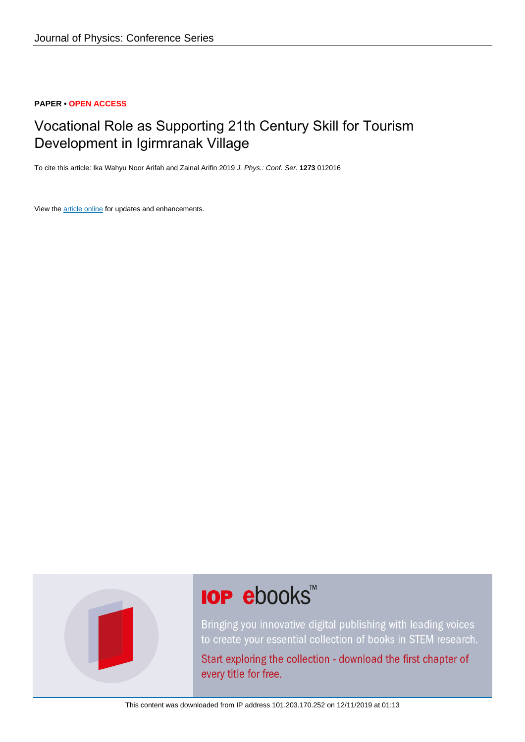#### **PAPER • OPEN ACCESS**

# Vocational Role as Supporting 21th Century Skill for Tourism Development in Igirmranak Village

To cite this article: Ika Wahyu Noor Arifah and Zainal Arifin 2019 J. Phys.: Conf. Ser. **1273** 012016

View the [article online](https://doi.org/10.1088/1742-6596/1273/1/012016) for updates and enhancements.



# **IOP ebooks**™

Bringing you innovative digital publishing with leading voices to create your essential collection of books in STEM research.

Start exploring the collection - download the first chapter of every title for free.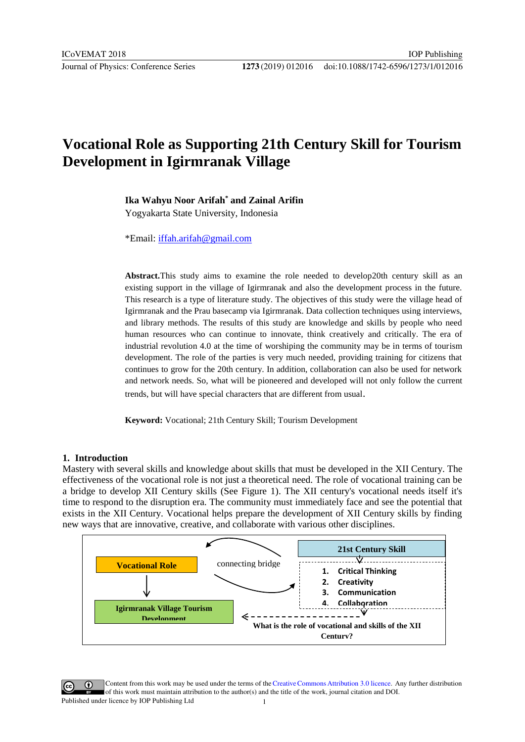# **Vocational Role as Supporting 21th Century Skill for Tourism Development in Igirmranak Village**

**Ika Wahyu Noor Arifah\* and Zainal Arifin**

Yogyakarta State University, Indonesia

\*Email: iffah.arifah@gmail.com

**Abstract.**This study aims to examine the role needed to develop20th century skill as an existing [support in the village of Ig](mailto:iffah.arifah@gmail.com)irmranak and also the development process in the future. This research is a type of literature study. The objectives of this study were the village head of Igirmranak and the Prau basecamp via Igirmranak. Data collection techniques using interviews, and library methods. The results of this study are knowledge and skills by people who need human resources who can continue to innovate, think creatively and critically. The era of industrial revolution 4.0 at the time of worshiping the community may be in terms of tourism development. The role of the parties is very much needed, providing training for citizens that continues to grow for the 20th century. In addition, collaboration can also be used for network and network needs. So, what will be pioneered and developed will not only follow the current trends, but will have special characters that are different from usual.

**Keyword:** Vocational; 21th Century Skill; Tourism Development

# **1. Introduction**

Mastery with several skills and knowledge about skills that must be developed in the XII Century. The effectiveness of the vocational role is not just a theoretical need. The role of vocational training can be a bridge to develop XII Century skills (See Figure 1). The XII century's vocational needs itself it's time to respond to the disruption era. The community must immediately face and see the potential that exists in the XII Century. Vocational helps prepare the development of XII Century skills by finding new ways that are innovative, creative, and collaborate with various other disciplines.



Content from this work may be used under the terms of theCreative Commons Attribution 3.0 licence. Any further distribution  $\omega$ of this work must maintain attribution to the author(s) and the title of the work, journal citation and DOI. Published under licence by IOP Publishing Ltd 1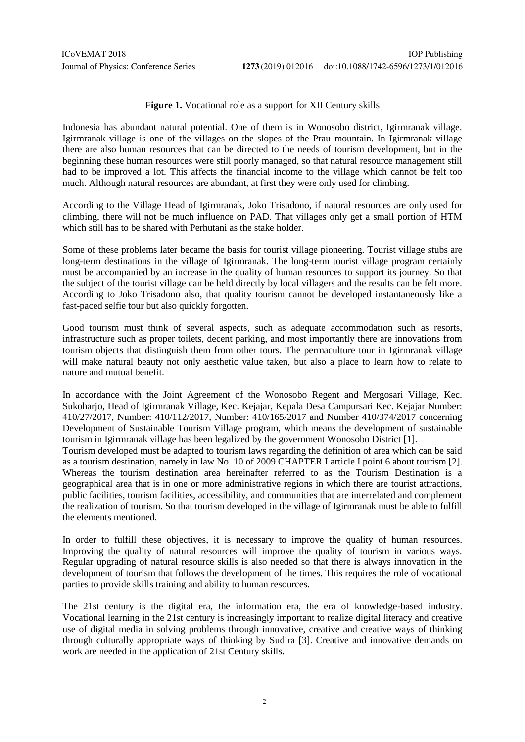### **Figure 1.** Vocational role as a support for XII Century skills

Indonesia has abundant natural potential. One of them is in Wonosobo district, Igirmranak village. Igirmranak village is one of the villages on the slopes of the Prau mountain. In Igirmranak village there are also human resources that can be directed to the needs of tourism development, but in the beginning these human resources were still poorly managed, so that natural resource management still had to be improved a lot. This affects the financial income to the village which cannot be felt too much. Although natural resources are abundant, at first they were only used for climbing.

According to the Village Head of Igirmranak, Joko Trisadono, if natural resources are only used for climbing, there will not be much influence on PAD. That villages only get a small portion of HTM which still has to be shared with Perhutani as the stake holder.

Some of these problems later became the basis for tourist village pioneering. Tourist village stubs are long-term destinations in the village of Igirmranak. The long-term tourist village program certainly must be accompanied by an increase in the quality of human resources to support its journey. So that the subject of the tourist village can be held directly by local villagers and the results can be felt more. According to Joko Trisadono also, that quality tourism cannot be developed instantaneously like a fast-paced selfie tour but also quickly forgotten.

Good tourism must think of several aspects, such as adequate accommodation such as resorts, infrastructure such as proper toilets, decent parking, and most importantly there are innovations from tourism objects that distinguish them from other tours. The permaculture tour in Igirmranak village will make natural beauty not only aesthetic value taken, but also a place to learn how to relate to nature and mutual benefit.

In accordance with the Joint Agreement of the Wonosobo Regent and Mergosari Village, Kec. Sukoharjo, Head of Igirmranak Village, Kec. Kejajar, Kepala Desa Campursari Kec. Kejajar Number: 410/27/2017, Number: 410/112/2017, Number: 410/165/2017 and Number 410/374/2017 concerning Development of Sustainable Tourism Village program, which means the development of sustainable tourism in Igirmranak village has been legalized by the government Wonosobo District [1].

Tourism developed must be adapted to tourism laws regarding the definition of area which can be said as a tourism destination, namely in law No. 10 of 2009 CHAPTER I article I point 6 about tourism [2]. Whereas the tourism destination area hereinafter referred to as the Tourism Destination is a geographical area that is in one or more administrative regions in which there are tourist attractions, public facilities, tourism facilities, accessibility, and communities that are interrelated and complement the realization of tourism. So that tourism developed in the village of Igirmranak must be able to fulfill the elements mentioned.

In order to fulfill these objectives, it is necessary to improve the quality of human resources. Improving the quality of natural resources will improve the quality of tourism in various ways. Regular upgrading of natural resource skills is also needed so that there is always innovation in the development of tourism that follows the development of the times. This requires the role of vocational parties to provide skills training and ability to human resources.

The 21st century is the digital era, the information era, the era of knowledge-based industry. Vocational learning in the 21st century is increasingly important to realize digital literacy and creative use of digital media in solving problems through innovative, creative and creative ways of thinking through culturally appropriate ways of thinking by Sudira [3]. Creative and innovative demands on work are needed in the application of 21st Century skills.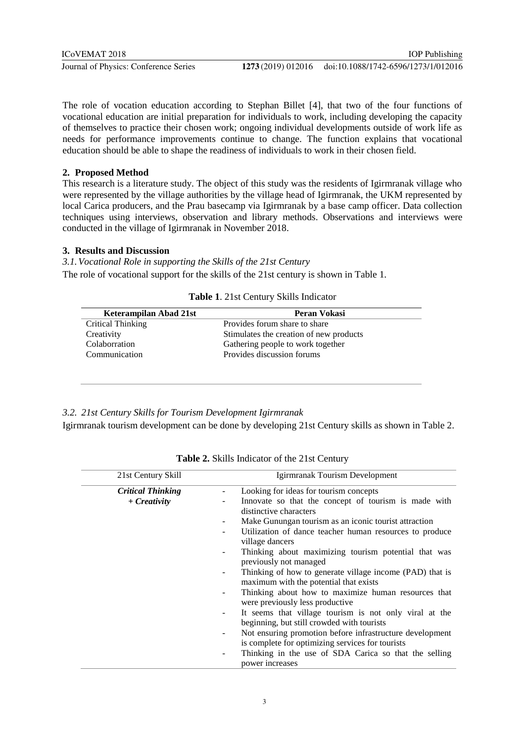The role of vocation education according to Stephan Billet [4], that two of the four functions of vocational education are initial preparation for individuals to work, including developing the capacity of themselves to practice their chosen work; ongoing individual developments outside of work life as needs for performance improvements continue to change. The function explains that vocational education should be able to shape the readiness of individuals to work in their chosen field.

### **2. Proposed Method**

This research is a literature study. The object of this study was the residents of Igirmranak village who were represented by the village authorities by the village head of Igirmranak, the UKM represented by local Carica producers, and the Prau basecamp via Igirmranak by a base camp officer. Data collection techniques using interviews, observation and library methods. Observations and interviews were conducted in the village of Igirmranak in November 2018.

## **3. Results and Discussion**

*3.1.Vocational Role in supporting the Skills of the 21st Century* The role of vocational support for the skills of the 21st century is shown in Table 1.

| Keterampilan Abad 21st | Peran Vokasi                            |
|------------------------|-----------------------------------------|
| Critical Thinking      | Provides forum share to share           |
| Creativity             | Stimulates the creation of new products |
| Colaborration          | Gathering people to work together       |
| Communication          | Provides discussion forums              |

**Table 1**. 21st Century Skills Indicator

## *3.2. 21st Century Skills for Tourism Development Igirmranak*

Igirmranak tourism development can be done by developing 21st Century skills as shown in Table 2.

| 21st Century Skill       | Igirmranak Tourism Development                                                                                 |
|--------------------------|----------------------------------------------------------------------------------------------------------------|
| <b>Critical Thinking</b> | Looking for ideas for tourism concepts                                                                         |
| $+$ Creativity           | Innovate so that the concept of tourism is made with<br>distinctive characters                                 |
|                          | Make Gunungan tourism as an iconic tourist attraction<br>$\overline{\phantom{a}}$                              |
|                          | Utilization of dance teacher human resources to produce<br>village dancers                                     |
|                          | Thinking about maximizing tourism potential that was<br>previously not managed                                 |
|                          | Thinking of how to generate village income (PAD) that is<br>maximum with the potential that exists             |
|                          | Thinking about how to maximize human resources that<br>were previously less productive                         |
|                          | It seems that village tourism is not only viral at the<br>$\sim$<br>beginning, but still crowded with tourists |
|                          | Not ensuring promotion before infrastructure development<br>is complete for optimizing services for tourists   |
|                          | Thinking in the use of SDA Carica so that the selling<br>power increases                                       |

**Table 2.** Skills Indicator of the 21st Century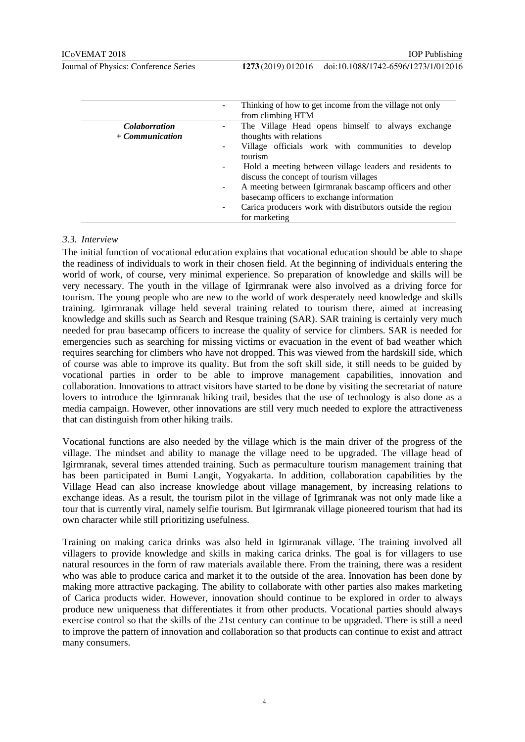|                      | Thinking of how to get income from the village not only<br>$\overline{\phantom{a}}$<br>from climbing HTM                         |
|----------------------|----------------------------------------------------------------------------------------------------------------------------------|
| <i>Colaborration</i> | The Village Head opens himself to always exchange                                                                                |
| $+$ Communication    | thoughts with relations                                                                                                          |
|                      | Village officials work with communities to develop<br>$\overline{\phantom{a}}$<br>tourism                                        |
|                      | Hold a meeting between village leaders and residents to<br>$\overline{\phantom{a}}$<br>discuss the concept of tourism villages   |
|                      | A meeting between Igirmranak bascamp officers and other<br>$\overline{\phantom{a}}$<br>basecamp officers to exchange information |
|                      | Carica producers work with distributors outside the region<br>$\overline{\phantom{a}}$<br>for marketing                          |

#### *3.3. Interview*

The initial function of vocational education explains that vocational education should be able to shape the readiness of individuals to work in their chosen field. At the beginning of individuals entering the world of work, of course, very minimal experience. So preparation of knowledge and skills will be very necessary. The youth in the village of Igirmranak were also involved as a driving force for tourism. The young people who are new to the world of work desperately need knowledge and skills training. Igirmranak village held several training related to tourism there, aimed at increasing knowledge and skills such as Search and Resque training (SAR). SAR training is certainly very much needed for prau basecamp officers to increase the quality of service for climbers. SAR is needed for emergencies such as searching for missing victims or evacuation in the event of bad weather which requires searching for climbers who have not dropped. This was viewed from the hardskill side, which of course was able to improve its quality. But from the soft skill side, it still needs to be guided by vocational parties in order to be able to improve management capabilities, innovation and collaboration. Innovations to attract visitors have started to be done by visiting the secretariat of nature lovers to introduce the Igirmranak hiking trail, besides that the use of technology is also done as a media campaign. However, other innovations are still very much needed to explore the attractiveness that can distinguish from other hiking trails.

Vocational functions are also needed by the village which is the main driver of the progress of the village. The mindset and ability to manage the village need to be upgraded. The village head of Igirmranak, several times attended training. Such as permaculture tourism management training that has been participated in Bumi Langit, Yogyakarta. In addition, collaboration capabilities by the Village Head can also increase knowledge about village management, by increasing relations to exchange ideas. As a result, the tourism pilot in the village of Igrimranak was not only made like a tour that is currently viral, namely selfie tourism. But Igirmranak village pioneered tourism that had its own character while still prioritizing usefulness.

Training on making carica drinks was also held in Igirmranak village. The training involved all villagers to provide knowledge and skills in making carica drinks. The goal is for villagers to use natural resources in the form of raw materials available there. From the training, there was a resident who was able to produce carica and market it to the outside of the area. Innovation has been done by making more attractive packaging. The ability to collaborate with other parties also makes marketing of Carica products wider. However, innovation should continue to be explored in order to always produce new uniqueness that differentiates it from other products. Vocational parties should always exercise control so that the skills of the 21st century can continue to be upgraded. There is still a need to improve the pattern of innovation and collaboration so that products can continue to exist and attract many consumers.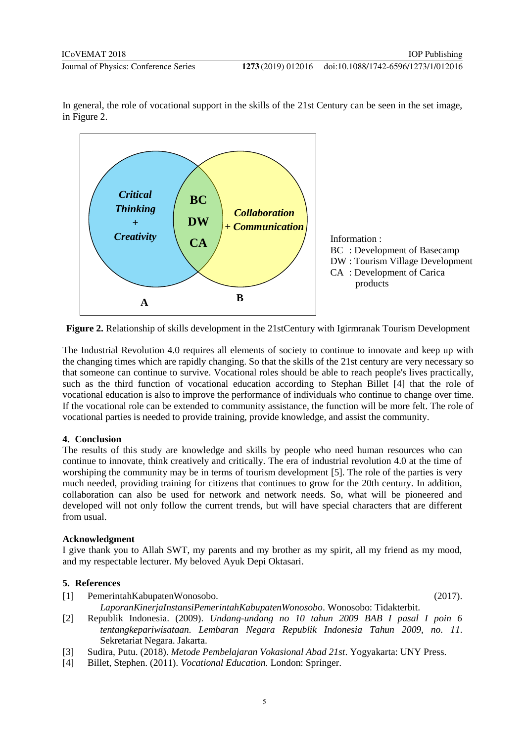doi:10.1088/1742-6596/1273/1/012016



In general, the role of vocational support in the skills of the 21st Century can be seen in the set image, in Figure 2.

**Figure 2.** Relationship of skills development in the 21stCentury with Igirmranak Tourism Development

The Industrial Revolution 4.0 requires all elements of society to continue to innovate and keep up with the changing times which are rapidly changing. So that the skills of the 21st century are very necessary so that someone can continue to survive. Vocational roles should be able to reach people's lives practically, such as the third function of vocational education according to Stephan Billet [4] that the role of vocational education is also to improve the performance of individuals who continue to change over time. If the vocational role can be extended to community assistance, the function will be more felt. The role of vocational parties is needed to provide training, provide knowledge, and assist the community.

#### **4. Conclusion**

The results of this study are knowledge and skills by people who need human resources who can continue to innovate, think creatively and critically. The era of industrial revolution 4.0 at the time of worshiping the community may be in terms of tourism development [5]. The role of the parties is very much needed, providing training for citizens that continues to grow for the 20th century. In addition, collaboration can also be used for network and network needs. So, what will be pioneered and developed will not only follow the current trends, but will have special characters that are different from usual.

#### **Acknowledgment**

I give thank you to Allah SWT, my parents and my brother as my spirit, all my friend as my mood, and my respectable lecturer. My beloved Ayuk Depi Oktasari.

#### **5. References**

[1] PemerintahKabupatenWonosobo. (2017).

- *LaporanKinerjaInstansiPemerintahKabupatenWonosobo*. Wonosobo: Tidakterbit.
- [2] Republik Indonesia. (2009). *Undang-undang no 10 tahun 2009 BAB I pasal I poin 6 tentangkepariwisataan. Lembaran Negara Republik Indonesia Tahun 2009, no. 11*. Sekretariat Negara. Jakarta.
- [3] Sudira, Putu. (2018). *Metode Pembelajaran Vokasional Abad 21st*. Yogyakarta: UNY Press.
- [4] Billet, Stephen. (2011). *Vocational Education.* London: Springer.